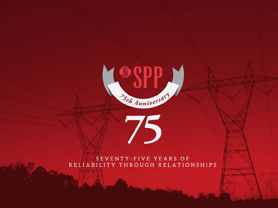

#### SEVENTY-FIVE YEARS OF RELIABILITY THROUGH RELATIONSHIPS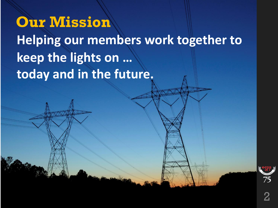### **Our Mission**

**Helping our members work together to keep the lights on … today and in the future.**

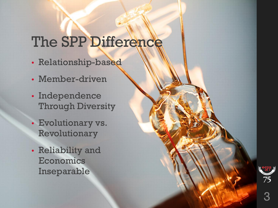# The SPP Difference

- Relationship-based
- Member-driven
- Independence Through Diversity
- Evolutionary vs. Revolutionary
- Reliability and Economics Inseparable

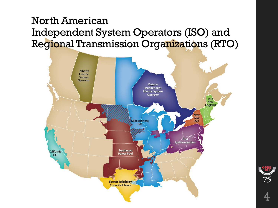#### North American Independent System Operators (ISO) and Regional Transmission Organizations (RTO)





4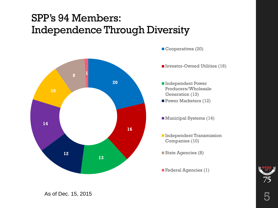#### SPP's 94 Members: Independence Through Diversity



Cooperatives (20)

- Investor-Owned Utilities (16)
- ■Independent Power Producers/Wholesale Generation (13) Power Marketers (12)
- Municipal Systems (14)
- **Independent Transmission** Companies (10)
- State Agencies (8)
- **Federal Agencies (1)**



As of Dec. 15, 2015  $\overline{5}$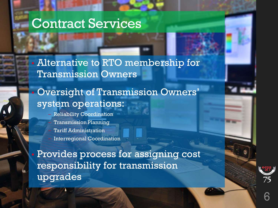#### Contract Services

• Alternative to RTO membership for Transmission Owners

#### • Oversight of Transmission Owners' system operations:

– Reliability Coordination – Transmission Planning **Tariff Administration** Interregional Coordination

• Provides process for assigning cost responsibility for transmission upgrades

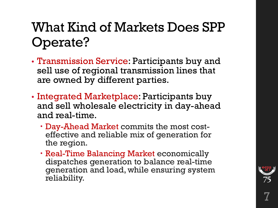### What Kind of Markets Does SPP Operate?

- Transmission Service: Participants buy and sell use of regional transmission lines that are owned by different parties.
- Integrated Marketplace: Participants buy and sell wholesale electricity in day-ahead and real-time.
	- Day-Ahead Market commits the most cost- effective and reliable mix of generation for the region.
	- Real-Time Balancing Market economically dispatches generation to balance real-time generation and load, while ensuring system reliability.

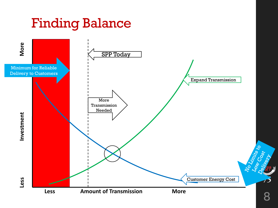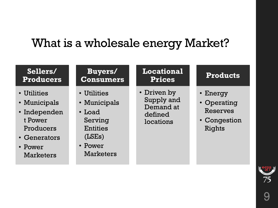### What is a wholesale energy Market?

| Sellers/                                                                                                           | <b>Buyers/</b>                                                                                                     | <b>Locational</b>                                              | <b>Products</b>                                                      |
|--------------------------------------------------------------------------------------------------------------------|--------------------------------------------------------------------------------------------------------------------|----------------------------------------------------------------|----------------------------------------------------------------------|
| <b>Producers</b>                                                                                                   | <b>Consumers</b>                                                                                                   | <b>Prices</b>                                                  |                                                                      |
| • Utilities<br>• Municipals<br>· Independen<br>t Power<br>Producers<br>• Generators<br>• Power<br><b>Marketers</b> | • Utilities<br>• Municipals<br>$\cdot$ Load<br>Serving<br><b>Entities</b><br>(LSEs)<br>• Power<br><b>Marketers</b> | • Driven by<br>Supply and<br>Demand at<br>defined<br>locations | • Energy<br>• Operating<br><b>Reserves</b><br>• Congestion<br>Rights |

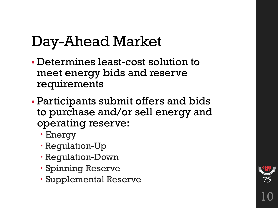# Day-Ahead Market

- Determines least-cost solution to meet energy bids and reserve requirements
- Participants submit offers and bids to purchase and/or sell energy and operating reserve:
	- Energy
	- Regulation-Up
	- Regulation-Down
	- Spinning Reserve
	- Supplemental Reserve

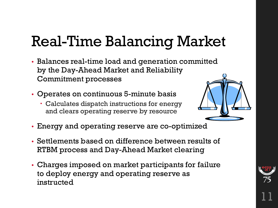# Real-Time Balancing Market

- Balances real-time load and generation committed by the Day-Ahead Market and Reliability Commitment processes
- Operates on continuous 5-minute basis
	- Calculates dispatch instructions for energy and clears operating reserve by resource



- Energy and operating reserve are co-optimized
- Settlements based on difference between results of RTBM process and Day-Ahead Market clearing
- Charges imposed on market participants for failure to deploy energy and operating reserve as instructed

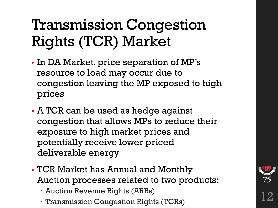# Transmission Congestion Rights (TCR) Market

- In DA Market, price separation of MP's resource to load may occur due to congestion leaving the MP exposed to high prices
- A TCR can be used as hedge against congestion that allows MPs to reduce their exposure to high market prices and potentially receive lower priced deliverable energy
- TCR Market has Annual and Monthly Auction processes related to two products:
	- Auction Revenue Rights (ARRs)
	- **Transmission Congestion Rights (TCRs)**

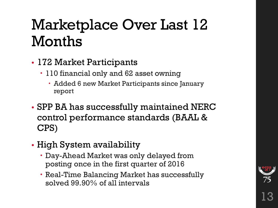# Marketplace Over Last 12 Months

- 172 Market Participants
	- 110 financial only and 62 asset owning
		- Added 6 new Market Participants since January report
- SPP BA has successfully maintained NERC control performance standards (BAAL & CPS)
- High System availability
	- Day-Ahead Market was only delayed from posting once in the first quarter of 2016
	- Real-Time Balancing Market has successfully solved 99.90% of all intervals

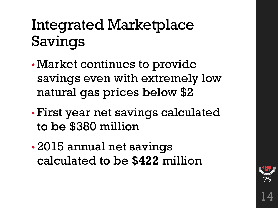# Integrated Marketplace Savings

- Market continues to provide savings even with extremely low natural gas prices below \$2
- First year net savings calculated to be \$380 million
- 2015 annual net savings calculated to be **\$422** million

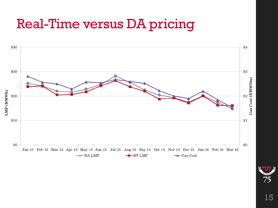### Real-Time versus DA pricing



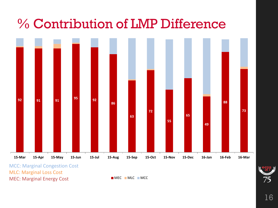### % Contribution of LMP Difference



MCC: Marginal Congestion Cost MLC: Marginal Loss Cost MEC: Marginal Energy Cost

**MEC** MLC MCC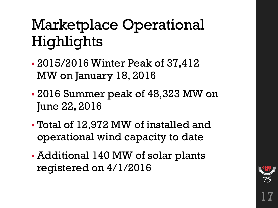# Marketplace Operational Highlights

- 2015/2016 Winter Peak of 37,412 MW on January 18, 2016
- 2016 Summer peak of 48,323 MW on June 22, 2016
- Total of 12,972 MW of installed and operational wind capacity to date
- Additional 140 MW of solar plants registered on 4/1/2016

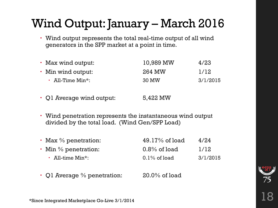### Wind Output: January – March 2016

 Wind output represents the total real-time output of all wind generators in the SPP market at a point in time.

| • Max wind output:     | 10,989 MW | 4/23     |
|------------------------|-----------|----------|
| • Min wind output:     | 264 MW    | 1/12     |
| $\cdot$ All-Time Min*: | 30 MW     | 3/1/2015 |

- Q1 Average wind output: 5,422 MW
- Wind penetration represents the instantaneous wind output divided by the total load. (Wind Gen/SPP Load)

| $\cdot$ Max % penetration:          | $49.17\%$ of load | 4/24     |
|-------------------------------------|-------------------|----------|
| $\cdot$ Min % penetration:          | $0.8\%$ of load   | 1/12     |
| $\cdot$ All-time Min <sup>*</sup> : | $0.1\%$ of load   | 3/1/2015 |

• Q1 Average  $%$  penetration:  $20.0\%$  of load



\*Since Integrated Marketplace Go-Live 3/1/2014 18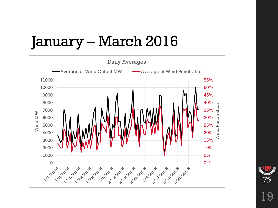# January – March 2016



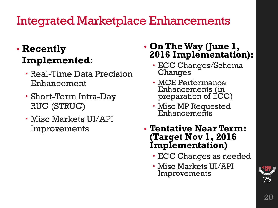### Integrated Marketplace Enhancements

#### • **Recently Implemented:**

- Real-Time Data Precision Enhancement
- Short-Term Intra-Day RUC (STRUC)
- Misc Markets UI/API Improvements

#### • **On The Way (June 1, 2016 Implementation):**

- ECC Changes/Schema Changes
- MCE Performance Enhancements (in preparation of ECC)
- Misc MP Requested<br>Enhancements
- **Tentative Near Term: (Target Nov 1, 2016 Implementation)**
	- ECC Changes as needed
	- Misc Markets UI/API Improvements